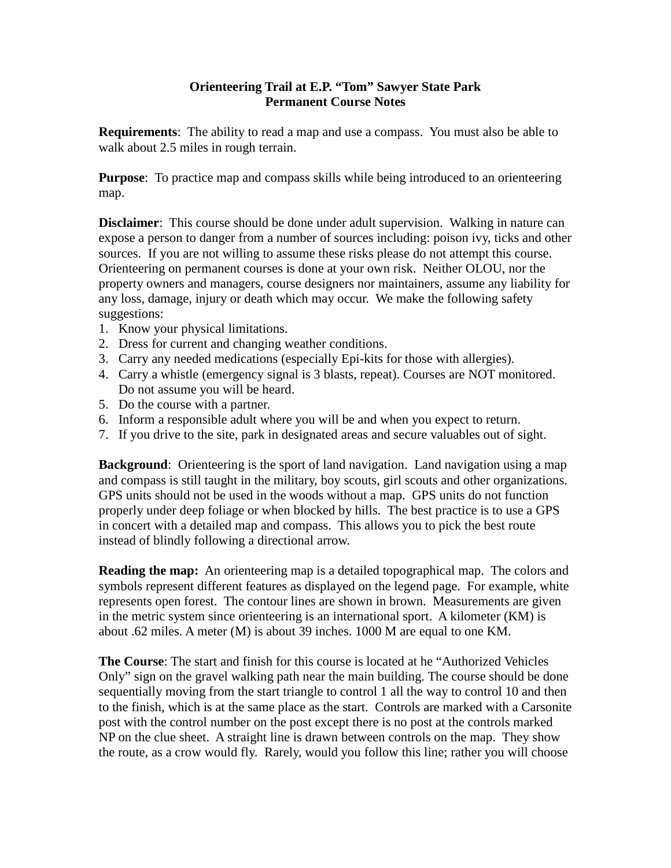## **Orienteering Trail at E.P. "Tom" Sawyer State Park Permanent Course Notes**

**Requirements**: The ability to read a map and use a compass. You must also be able to walk about 2.5 miles in rough terrain.

**Purpose**: To practice map and compass skills while being introduced to an orienteering map.

**Disclaimer**: This course should be done under adult supervision. Walking in nature can expose a person to danger from a number of sources including: poison ivy, ticks and other sources. If you are not willing to assume these risks please do not attempt this course. Orienteering on permanent courses is done at your own risk. Neither OLOU, nor the property owners and managers, course designers nor maintainers, assume any liability for any loss, damage, injury or death which may occur. We make the following safety suggestions:

- 1. Know your physical limitations.
- 2. Dress for current and changing weather conditions.
- 3. Carry any needed medications (especially Epi-kits for those with allergies).
- 4. Carry a whistle (emergency signal is 3 blasts, repeat). Courses are NOT monitored. Do not assume you will be heard.
- 5. Do the course with a partner.
- 6. Inform a responsible adult where you will be and when you expect to return.
- 7. If you drive to the site, park in designated areas and secure valuables out of sight.

**Background**: Orienteering is the sport of land navigation. Land navigation using a map and compass is still taught in the military, boy scouts, girl scouts and other organizations. GPS units should not be used in the woods without a map. GPS units do not function properly under deep foliage or when blocked by hills. The best practice is to use a GPS in concert with a detailed map and compass. This allows you to pick the best route instead of blindly following a directional arrow.

**Reading the map:** An orienteering map is a detailed topographical map. The colors and symbols represent different features as displayed on the legend page. For example, white represents open forest. The contour lines are shown in brown. Measurements are given in the metric system since orienteering is an international sport. A kilometer (KM) is about .62 miles. A meter (M) is about 39 inches. 1000 M are equal to one KM.

**The Course**: The start and finish for this course is located at he "Authorized Vehicles Only" sign on the gravel walking path near the main building. The course should be done sequentially moving from the start triangle to control 1 all the way to control 10 and then to the finish, which is at the same place as the start. Controls are marked with a Carsonite post with the control number on the post except there is no post at the controls marked NP on the clue sheet. A straight line is drawn between controls on the map. They show the route, as a crow would fly. Rarely, would you follow this line; rather you will choose